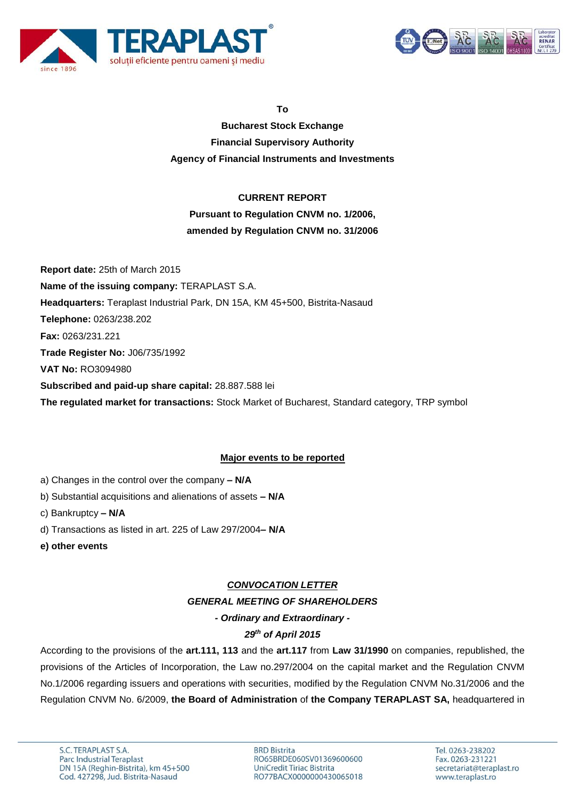



**To**

**Bucharest Stock Exchange Financial Supervisory Authority Agency of Financial Instruments and Investments**

### **CURRENT REPORT**

# **Pursuant to Regulation CNVM no. 1/2006, amended by Regulation CNVM no. 31/2006**

**Report date:** 25th of March 2015 **Name of the issuing company:** TERAPLAST S.A. **Headquarters:** Teraplast Industrial Park, DN 15A, KM 45+500, Bistrita-Nasaud **Telephone:** 0263/238.202 **Fax:** 0263/231.221 **Trade Register No:** J06/735/1992 **VAT No:** RO3094980 **Subscribed and paid-up share capital:** 28.887.588 lei **The regulated market for transactions:** Stock Market of Bucharest, Standard category, TRP symbol

## **Major events to be reported**

- a) Changes in the control over the company **– N/A**
- b) Substantial acquisitions and alienations of assets **– N/A**
- c) Bankruptcy **– N/A**
- d) Transactions as listed in art. 225 of Law 297/2004**– N/A**
- **e) other events**

## *CONVOCATION LETTER GENERAL MEETING OF SHAREHOLDERS - Ordinary and Extraordinary -*

## *29th of April 2015*

According to the provisions of the **art.111, 113** and the **art.117** from **Law 31/1990** on companies, republished, the provisions of the Articles of Incorporation, the Law no.297/2004 on the capital market and the Regulation CNVM No.1/2006 regarding issuers and operations with securities, modified by the Regulation CNVM No.31/2006 and the Regulation CNVM No. 6/2009, **the Board of Administration** of **the Company TERAPLAST SA,** headquartered in

**BRD Bistrita** RO65BRDE060SV01369600600 UniCredit Tiriac Bistrita RO77BACX0000000430065018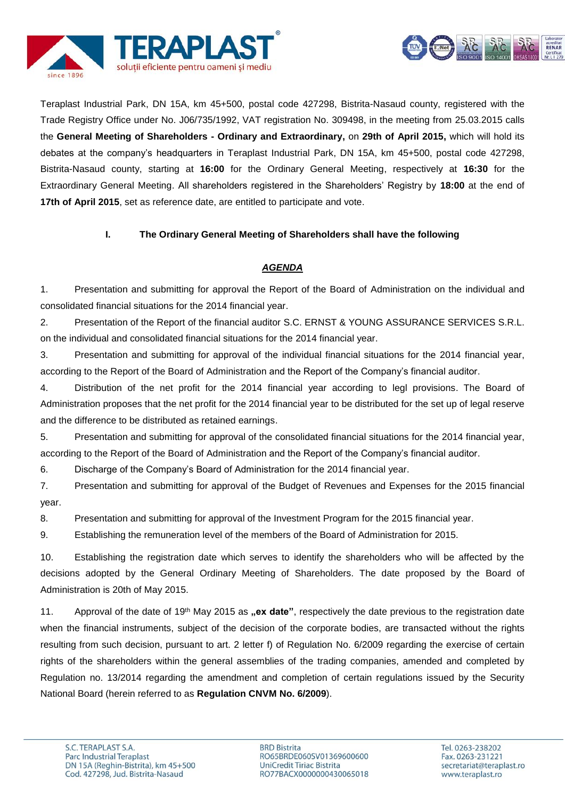



Teraplast Industrial Park, DN 15A, km 45+500, postal code 427298, Bistrita-Nasaud county, registered with the Trade Registry Office under No. J06/735/1992, VAT registration No. 309498, in the meeting from 25.03.2015 calls the **General Meeting of Shareholders - Ordinary and Extraordinary,** on **29th of April 2015,** which will hold its debates at the company's headquarters in Teraplast Industrial Park, DN 15A, km 45+500, postal code 427298, Bistrita-Nasaud county, starting at **16:00** for the Ordinary General Meeting, respectively at **16:30** for the Extraordinary General Meeting. All shareholders registered in the Shareholders' Registry by **18:00** at the end of **17th of April 2015**, set as reference date, are entitled to participate and vote.

### **I. The Ordinary General Meeting of Shareholders shall have the following**

### *AGENDA*

1. Presentation and submitting for approval the Report of the Board of Administration on the individual and consolidated financial situations for the 2014 financial year.

2. Presentation of the Report of the financial auditor S.C. ERNST & YOUNG ASSURANCE SERVICES S.R.L. on the individual and consolidated financial situations for the 2014 financial year.

3. Presentation and submitting for approval of the individual financial situations for the 2014 financial year, according to the Report of the Board of Administration and the Report of the Company's financial auditor.

4. Distribution of the net profit for the 2014 financial year according to legl provisions. The Board of Administration proposes that the net profit for the 2014 financial year to be distributed for the set up of legal reserve and the difference to be distributed as retained earnings.

5. Presentation and submitting for approval of the consolidated financial situations for the 2014 financial year, according to the Report of the Board of Administration and the Report of the Company's financial auditor.

6. Discharge of the Company's Board of Administration for the 2014 financial year.

7. Presentation and submitting for approval of the Budget of Revenues and Expenses for the 2015 financial year.

8. Presentation and submitting for approval of the Investment Program for the 2015 financial year.

9. Establishing the remuneration level of the members of the Board of Administration for 2015.

10. Establishing the registration date which serves to identify the shareholders who will be affected by the decisions adopted by the General Ordinary Meeting of Shareholders. The date proposed by the Board of Administration is 20th of May 2015.

11. Approval of the date of 19<sup>th</sup> May 2015 as **"ex date**", respectively the date previous to the registration date when the financial instruments, subject of the decision of the corporate bodies, are transacted without the rights resulting from such decision, pursuant to art. 2 letter f) of Regulation No. 6/2009 regarding the exercise of certain rights of the shareholders within the general assemblies of the trading companies, amended and completed by Regulation no. 13/2014 regarding the amendment and completion of certain regulations issued by the Security National Board (herein referred to as **Regulation CNVM No. 6/2009**).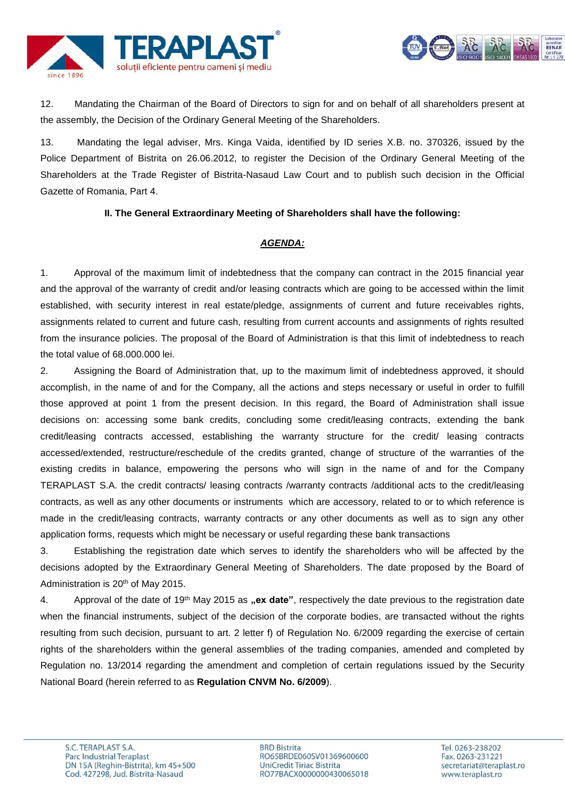



12. Mandating the Chairman of the Board of Directors to sign for and on behalf of all shareholders present at the assembly, the Decision of the Ordinary General Meeting of the Shareholders.

13. Mandating the legal adviser, Mrs. Kinga Vaida, identified by ID series X.B. no. 370326, issued by the Police Department of Bistrita on 26.06.2012, to register the Decision of the Ordinary General Meeting of the Shareholders at the Trade Register of Bistrita-Nasaud Law Court and to publish such decision in the Official Gazette of Romania, Part 4.

#### **II. The General Extraordinary Meeting of Shareholders shall have the following:**

#### *AGENDA:*

1. Approval of the maximum limit of indebtedness that the company can contract in the 2015 financial year and the approval of the warranty of credit and/or leasing contracts which are going to be accessed within the limit established, with security interest in real estate/pledge, assignments of current and future receivables rights, assignments related to current and future cash, resulting from current accounts and assignments of rights resulted from the insurance policies. The proposal of the Board of Administration is that this limit of indebtedness to reach the total value of 68.000.000 lei.

2. Assigning the Board of Administration that, up to the maximum limit of indebtedness approved, it should accomplish, in the name of and for the Company, all the actions and steps necessary or useful in order to fulfill those approved at point 1 from the present decision. In this regard, the Board of Administration shall issue decisions on: accessing some bank credits, concluding some credit/leasing contracts, extending the bank credit/leasing contracts accessed, establishing the warranty structure for the credit/ leasing contracts accessed/extended, restructure/reschedule of the credits granted, change of structure of the warranties of the existing credits in balance, empowering the persons who will sign in the name of and for the Company TERAPLAST S.A. the credit contracts/ leasing contracts /warranty contracts /additional acts to the credit/leasing contracts, as well as any other documents or instruments which are accessory, related to or to which reference is made in the credit/leasing contracts, warranty contracts or any other documents as well as to sign any other application forms, requests which might be necessary or useful regarding these bank transactions

3. Establishing the registration date which serves to identify the shareholders who will be affected by the decisions adopted by the Extraordinary General Meeting of Shareholders. The date proposed by the Board of Administration is 20<sup>th</sup> of May 2015.

4. Approval of the date of 19<sup>th</sup> May 2015 as **"ex date**", respectively the date previous to the registration date when the financial instruments, subject of the decision of the corporate bodies, are transacted without the rights resulting from such decision, pursuant to art. 2 letter f) of Regulation No. 6/2009 regarding the exercise of certain rights of the shareholders within the general assemblies of the trading companies, amended and completed by Regulation no. 13/2014 regarding the amendment and completion of certain regulations issued by the Security National Board (herein referred to as **Regulation CNVM No. 6/2009**).

**BRD Bistrita** RO65BRDE060SV01369600600 UniCredit Tiriac Bistrita RO77BACX0000000430065018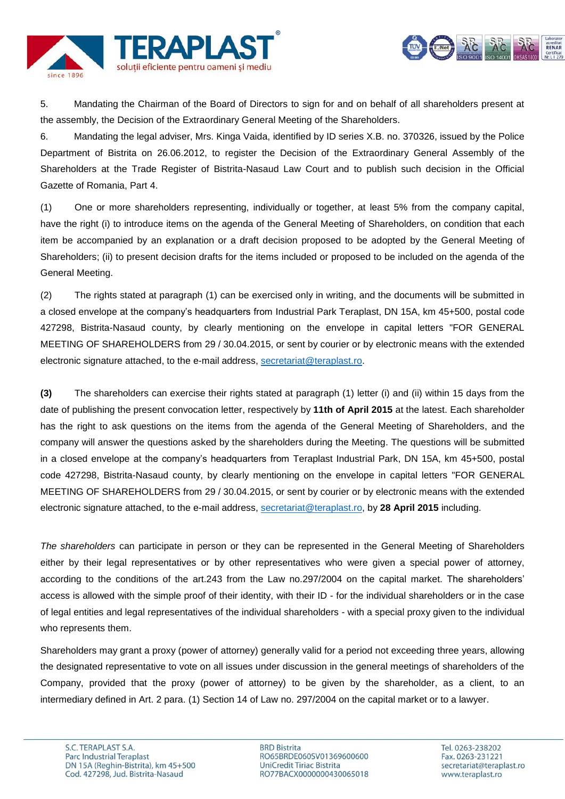



5. Mandating the Chairman of the Board of Directors to sign for and on behalf of all shareholders present at the assembly, the Decision of the Extraordinary General Meeting of the Shareholders.

6. Mandating the legal adviser, Mrs. Kinga Vaida, identified by ID series X.B. no. 370326, issued by the Police Department of Bistrita on 26.06.2012, to register the Decision of the Extraordinary General Assembly of the Shareholders at the Trade Register of Bistrita-Nasaud Law Court and to publish such decision in the Official Gazette of Romania, Part 4.

(1) One or more shareholders representing, individually or together, at least 5% from the company capital, have the right (i) to introduce items on the agenda of the General Meeting of Shareholders, on condition that each item be accompanied by an explanation or a draft decision proposed to be adopted by the General Meeting of Shareholders; (ii) to present decision drafts for the items included or proposed to be included on the agenda of the General Meeting.

(2) The rights stated at paragraph (1) can be exercised only in writing, and the documents will be submitted in a closed envelope at the company's headquarters from Industrial Park Teraplast, DN 15A, km 45+500, postal code 427298, Bistrita-Nasaud county, by clearly mentioning on the envelope in capital letters "FOR GENERAL MEETING OF SHAREHOLDERS from 29 / 30.04.2015, or sent by courier or by electronic means with the extended electronic signature attached, to the e-mail address, [secretariat@teraplast.ro.](mailto:secretariat@teraplast.ro)

**(3)** The shareholders can exercise their rights stated at paragraph (1) letter (i) and (ii) within 15 days from the date of publishing the present convocation letter, respectively by **11th of April 2015** at the latest. Each shareholder has the right to ask questions on the items from the agenda of the General Meeting of Shareholders, and the company will answer the questions asked by the shareholders during the Meeting. The questions will be submitted in a closed envelope at the company's headquarters from Teraplast Industrial Park, DN 15A, km 45+500, postal code 427298, Bistrita-Nasaud county, by clearly mentioning on the envelope in capital letters "FOR GENERAL MEETING OF SHAREHOLDERS from 29 / 30.04.2015, or sent by courier or by electronic means with the extended electronic signature attached, to the e-mail address, [secretariat@teraplast.ro,](mailto:secretariat@teraplast.ro) by **28 April 2015** including.

*The shareholders* can participate in person or they can be represented in the General Meeting of Shareholders either by their legal representatives or by other representatives who were given a special power of attorney, according to the conditions of the art.243 from the Law no.297/2004 on the capital market. The shareholders' access is allowed with the simple proof of their identity, with their ID - for the individual shareholders or in the case of legal entities and legal representatives of the individual shareholders - with a special proxy given to the individual who represents them.

Shareholders may grant a proxy (power of attorney) generally valid for a period not exceeding three years, allowing the designated representative to vote on all issues under discussion in the general meetings of shareholders of the Company, provided that the proxy (power of attorney) to be given by the shareholder, as a client, to an intermediary defined in Art. 2 para. (1) Section 14 of Law no. 297/2004 on the capital market or to a lawyer.

**BRD Bistrita** RO65BRDE060SV01369600600 UniCredit Tiriac Bistrita RO77BACX0000000430065018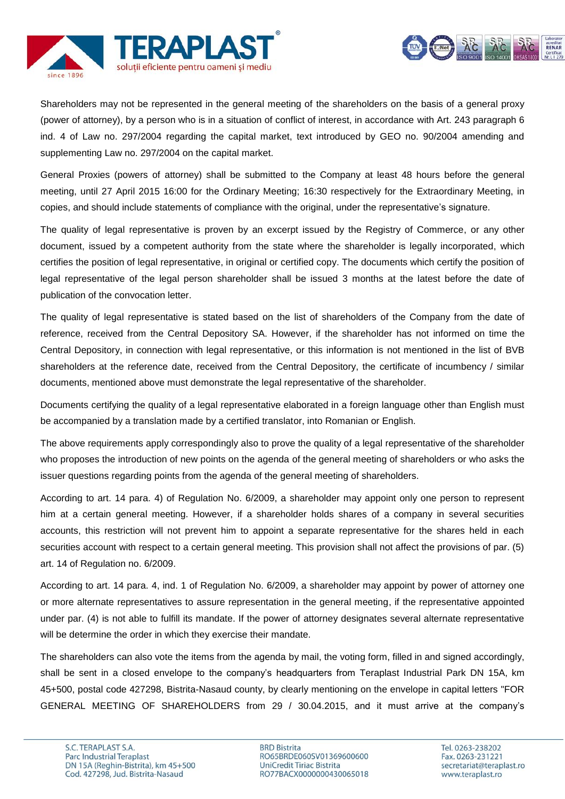



Shareholders may not be represented in the general meeting of the shareholders on the basis of a general proxy (power of attorney), by a person who is in a situation of conflict of interest, in accordance with Art. 243 paragraph 6 ind. 4 of Law no. 297/2004 regarding the capital market, text introduced by GEO no. 90/2004 amending and supplementing Law no. 297/2004 on the capital market.

General Proxies (powers of attorney) shall be submitted to the Company at least 48 hours before the general meeting, until 27 April 2015 16:00 for the Ordinary Meeting; 16:30 respectively for the Extraordinary Meeting, in copies, and should include statements of compliance with the original, under the representative's signature.

The quality of legal representative is proven by an excerpt issued by the Registry of Commerce, or any other document, issued by a competent authority from the state where the shareholder is legally incorporated, which certifies the position of legal representative, in original or certified copy. The documents which certify the position of legal representative of the legal person shareholder shall be issued 3 months at the latest before the date of publication of the convocation letter.

The quality of legal representative is stated based on the list of shareholders of the Company from the date of reference, received from the Central Depository SA. However, if the shareholder has not informed on time the Central Depository, in connection with legal representative, or this information is not mentioned in the list of BVB shareholders at the reference date, received from the Central Depository, the certificate of incumbency / similar documents, mentioned above must demonstrate the legal representative of the shareholder.

Documents certifying the quality of a legal representative elaborated in a foreign language other than English must be accompanied by a translation made by a certified translator, into Romanian or English.

The above requirements apply correspondingly also to prove the quality of a legal representative of the shareholder who proposes the introduction of new points on the agenda of the general meeting of shareholders or who asks the issuer questions regarding points from the agenda of the general meeting of shareholders.

According to art. 14 para. 4) of Regulation No. 6/2009, a shareholder may appoint only one person to represent him at a certain general meeting. However, if a shareholder holds shares of a company in several securities accounts, this restriction will not prevent him to appoint a separate representative for the shares held in each securities account with respect to a certain general meeting. This provision shall not affect the provisions of par. (5) art. 14 of Regulation no. 6/2009.

According to art. 14 para. 4, ind. 1 of Regulation No. 6/2009, a shareholder may appoint by power of attorney one or more alternate representatives to assure representation in the general meeting, if the representative appointed under par. (4) is not able to fulfill its mandate. If the power of attorney designates several alternate representative will be determine the order in which they exercise their mandate.

The shareholders can also vote the items from the agenda by mail, the voting form, filled in and signed accordingly, shall be sent in a closed envelope to the company's headquarters from Teraplast Industrial Park DN 15A, km 45+500, postal code 427298, Bistrita-Nasaud county, by clearly mentioning on the envelope in capital letters "FOR GENERAL MEETING OF SHAREHOLDERS from 29 / 30.04.2015, and it must arrive at the company's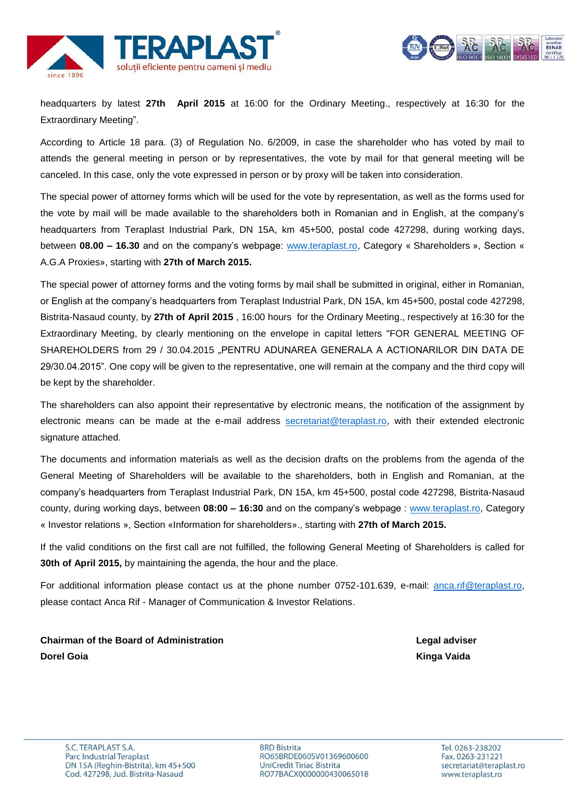



headquarters by latest **27th April 2015** at 16:00 for the Ordinary Meeting., respectively at 16:30 for the Extraordinary Meeting".

According to Article 18 para. (3) of Regulation No. 6/2009, in case the shareholder who has voted by mail to attends the general meeting in person or by representatives, the vote by mail for that general meeting will be canceled. In this case, only the vote expressed in person or by proxy will be taken into consideration.

The special power of attorney forms which will be used for the vote by representation, as well as the forms used for the vote by mail will be made available to the shareholders both in Romanian and in English, at the company's headquarters from Teraplast Industrial Park, DN 15A, km 45+500, postal code 427298, during working days, between **08.00 – 16.30** and on the company's webpage: [www.teraplast.ro,](http://www.teraplast.ro/) Category « Shareholders », Section « A.G.A Proxies», starting with **27th of March 2015.**

The special power of attorney forms and the voting forms by mail shall be submitted in original, either in Romanian, or English at the company's headquarters from Teraplast Industrial Park, DN 15A, km 45+500, postal code 427298, Bistrita-Nasaud county, by **27th of April 2015** , 16:00 hours for the Ordinary Meeting., respectively at 16:30 for the Extraordinary Meeting, by clearly mentioning on the envelope in capital letters "FOR GENERAL MEETING OF SHAREHOLDERS from 29 / 30.04.2015 "PENTRU ADUNAREA GENERALA A ACTIONARILOR DIN DATA DE 29/30.04.2015". One copy will be given to the representative, one will remain at the company and the third copy will be kept by the shareholder.

The shareholders can also appoint their representative by electronic means, the notification of the assignment by electronic means can be made at the e-mail address [secretariat@teraplast.ro,](mailto:secretariat@teraplast.ro) with their extended electronic signature attached.

The documents and information materials as well as the decision drafts on the problems from the agenda of the General Meeting of Shareholders will be available to the shareholders, both in English and Romanian, at the company's headquarters from Teraplast Industrial Park, DN 15A, km 45+500, postal code 427298, Bistrita-Nasaud county, during working days, between **08:00 – 16:30** and on the company's webpage : [www.teraplast.ro,](http://www.teraplast.ro/) Category « Investor relations », Section «Information for shareholders»., starting with **27th of March 2015.**

If the valid conditions on the first call are not fulfilled, the following General Meeting of Shareholders is called for **30th of April 2015,** by maintaining the agenda, the hour and the place.

For additional information please contact us at the phone number 0752-101.639, e-mail: [anca.rif@teraplast.ro,](mailto:anca.rif@teraplast.ro) please contact Anca Rif - Manager of Communication & Investor Relations.

**Chairman of the Board of Administration Legal adviser Dorel Goia Kinga Vaida**